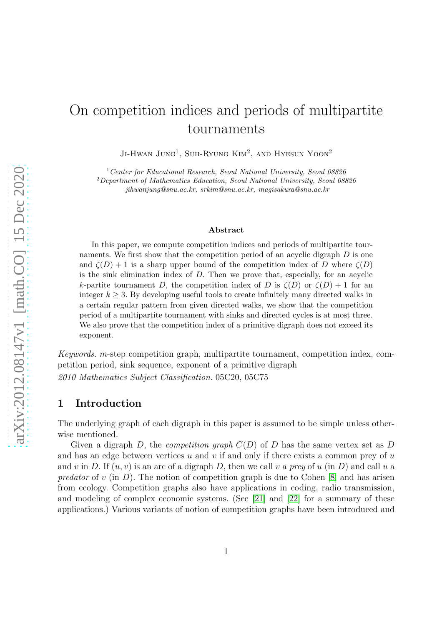# On competition indices and periods of multipartite tournaments

JI-HWAN JUNG<sup>1</sup>, SUH-RYUNG KIM<sup>2</sup>, AND HYESUN YOON<sup>2</sup>

<sup>1</sup>Center for Educational Research, Seoul National University, Seoul 08826

<sup>2</sup>Department of Mathematics Education, Seoul National University, Seoul 08826 jihwanjung@snu.ac.kr, srkim@snu.ac.kr, magisakura@snu.ac.kr

#### Abstract

In this paper, we compute competition indices and periods of multipartite tournaments. We first show that the competition period of an acyclic digraph  $D$  is one and  $\zeta(D) + 1$  is a sharp upper bound of the competition index of D where  $\zeta(D)$ is the sink elimination index of  $D$ . Then we prove that, especially, for an acyclic k-partite tournament D, the competition index of D is  $\zeta(D)$  or  $\zeta(D) + 1$  for an integer  $k \geq 3$ . By developing useful tools to create infinitely many directed walks in a certain regular pattern from given directed walks, we show that the competition period of a multipartite tournament with sinks and directed cycles is at most three. We also prove that the competition index of a primitive digraph does not exceed its exponent.

Keywords. m-step competition graph, multipartite tournament, competition index, competition period, sink sequence, exponent of a primitive digraph 2010 Mathematics Subject Classification. 05C20, 05C75

## 1 Introduction

The underlying graph of each digraph in this paper is assumed to be simple unless otherwise mentioned.

Given a digraph D, the *competition graph*  $C(D)$  of D has the same vertex set as D and has an edge between vertices u and v if and only if there exists a common prey of  $u$ and v in D. If  $(u, v)$  is an arc of a digraph D, then we call v a prey of u (in D) and call u a predator of v (in D). The notion of competition graph is due to Cohen  $|8|$  and has arisen from ecology. Competition graphs also have applications in coding, radio transmission, and modeling of complex economic systems. (See [\[21\]](#page-19-0) and [\[22\]](#page-19-1) for a summary of these applications.) Various variants of notion of competition graphs have been introduced and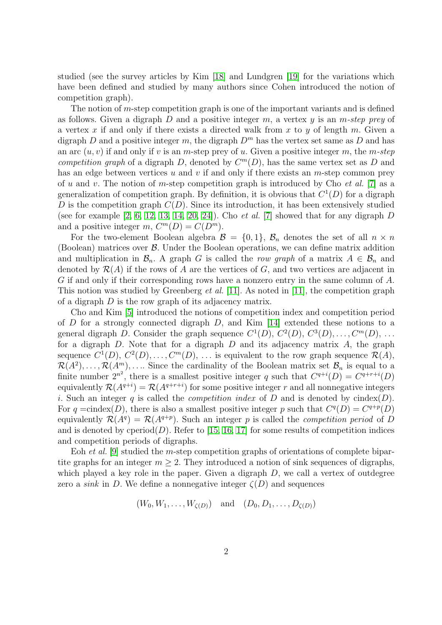studied (see the survey articles by Kim [\[18\]](#page-19-2) and Lundgren [\[19\]](#page-19-3) for the variations which have been defined and studied by many authors since Cohen introduced the notion of competition graph).

The notion of  $m$ -step competition graph is one of the important variants and is defined as follows. Given a digraph D and a positive integer  $m$ , a vertex  $y$  is an  $m\text{-}step\ prey$  of a vertex x if and only if there exists a directed walk from x to y of length m. Given a digraph D and a positive integer m, the digraph  $D<sup>m</sup>$  has the vertex set same as D and has an arc  $(u, v)$  if and only if v is an m-step prey of u. Given a positive integer m, the m-step competition graph of a digraph D, denoted by  $C^m(D)$ , has the same vertex set as D and has an edge between vertices  $u$  and  $v$  if and only if there exists an  $m$ -step common prey of u and v. The notion of m-step competition graph is introduced by Cho et al. [\[7\]](#page-18-1) as a generalization of competition graph. By definition, it is obvious that  $C^1(D)$  for a digraph D is the competition graph  $C(D)$ . Since its introduction, it has been extensively studied (see for example  $[2, 6, 12, 13, 14, 20, 24]$  $[2, 6, 12, 13, 14, 20, 24]$  $[2, 6, 12, 13, 14, 20, 24]$  $[2, 6, 12, 13, 14, 20, 24]$  $[2, 6, 12, 13, 14, 20, 24]$  $[2, 6, 12, 13, 14, 20, 24]$  $[2, 6, 12, 13, 14, 20, 24]$ ). Cho *et al.* [\[7\]](#page-18-1) showed that for any digraph D and a positive integer  $m$ ,  $C^m(D) = C(D^m)$ .

For the two-element Boolean algebra  $\mathcal{B} = \{0, 1\}$ ,  $\mathcal{B}_n$  denotes the set of all  $n \times n$ (Boolean) matrices over  $\beta$ . Under the Boolean operations, we can define matrix addition and multiplication in  $\mathcal{B}_n$ . A graph G is called the row graph of a matrix  $A \in \mathcal{B}_n$  and denoted by  $\mathcal{R}(A)$  if the rows of A are the vertices of G, and two vertices are adjacent in G if and only if their corresponding rows have a nonzero entry in the same column of A. This notion was studied by Greenberg et al. [\[11\]](#page-18-7). As noted in [\[11\]](#page-18-7), the competition graph of a digraph  $D$  is the row graph of its adjacency matrix.

Cho and Kim [\[5\]](#page-18-8) introduced the notions of competition index and competition period of D for a strongly connected digraph D, and Kim [\[14\]](#page-18-6) extended these notions to a general digraph D. Consider the graph sequence  $C^1(D)$ ,  $C^2(D)$ ,  $C^3(D)$ , ...,  $C^m(D)$ , ... for a digraph  $D$ . Note that for a digraph  $D$  and its adjacency matrix  $A$ , the graph sequence  $C^1(D)$ ,  $C^2(D)$ , ...,  $C^m(D)$ , ... is equivalent to the row graph sequence  $\mathcal{R}(A)$ ,  $\mathcal{R}(A^2), \ldots, \mathcal{R}(A^m), \ldots$  Since the cardinality of the Boolean matrix set  $\mathcal{B}_n$  is equal to a finite number  $2^{n^2}$ , there is a smallest positive integer q such that  $C^{q+i}(D) = C^{q+r+i}(D)$ equivalently  $\mathcal{R}(A^{q+i}) = \mathcal{R}(A^{q+r+i})$  for some positive integer r and all nonnegative integers i. Such an integer q is called the *competition index* of  $D$  and is denoted by cindex( $D$ ). For q =cindex(D), there is also a smallest positive integer p such that  $C<sup>q</sup>(D) = C<sup>q+p</sup>(D)$ equivalently  $\mathcal{R}(A^q) = \mathcal{R}(A^{q+p})$ . Such an integer p is called the *competition period* of D and is denoted by cperiod( $D$ ). Refer to [\[15,](#page-18-9) [16,](#page-18-10) [17\]](#page-19-6) for some results of competition indices and competition periods of digraphs.

Eoh et al. [\[9\]](#page-18-11) studied the m-step competition graphs of orientations of complete bipartite graphs for an integer  $m \geq 2$ . They introduced a notion of sink sequences of digraphs, which played a key role in the paper. Given a digraph  $D$ , we call a vertex of outdegree zero a *sink* in D. We define a nonnegative integer  $\zeta(D)$  and sequences

$$
(W_0, W_1, \ldots, W_{\zeta(D)}) \quad \text{and} \quad (D_0, D_1, \ldots, D_{\zeta(D)})
$$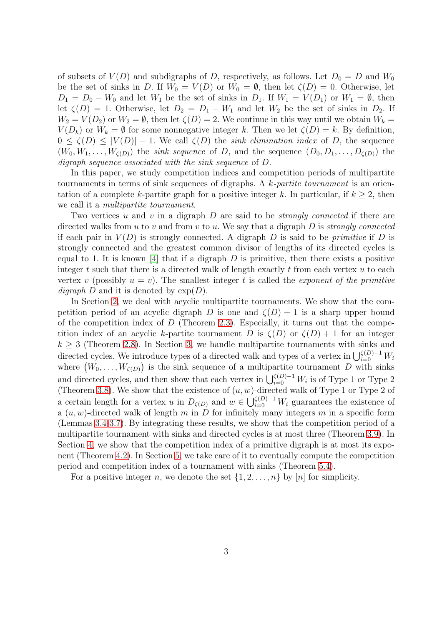of subsets of  $V(D)$  and subdigraphs of D, respectively, as follows. Let  $D_0 = D$  and  $W_0$ be the set of sinks in D. If  $W_0 = V(D)$  or  $W_0 = \emptyset$ , then let  $\zeta(D) = 0$ . Otherwise, let  $D_1 = D_0 - W_0$  and let  $W_1$  be the set of sinks in  $D_1$ . If  $W_1 = V(D_1)$  or  $W_1 = \emptyset$ , then let  $\zeta(D) = 1$ . Otherwise, let  $D_2 = D_1 - W_1$  and let  $W_2$  be the set of sinks in  $D_2$ . If  $W_2 = V(D_2)$  or  $W_2 = \emptyset$ , then let  $\zeta(D) = 2$ . We continue in this way until we obtain  $W_k =$  $V(D_k)$  or  $W_k = \emptyset$  for some nonnegative integer k. Then we let  $\zeta(D) = k$ . By definition,  $0 \le \zeta(D) \le |V(D)| - 1$ . We call  $\zeta(D)$  the sink elimination index of D, the sequence  $(W_0, W_1, \ldots, W_{\zeta(D)})$  the *sink sequence* of D, and the sequence  $(D_0, D_1, \ldots, D_{\zeta(D)})$  the digraph sequence associated with the sink sequence of D.

In this paper, we study competition indices and competition periods of multipartite tournaments in terms of sink sequences of digraphs. A k-partite tournament is an orientation of a complete k-partite graph for a positive integer k. In particular, if  $k \geq 2$ , then we call it a *multipartite tournament*.

Two vertices u and v in a digraph D are said to be *strongly connected* if there are directed walks from  $u$  to  $v$  and from  $v$  to  $u$ . We say that a digraph  $D$  is *strongly connected* if each pair in  $V(D)$  is strongly connected. A digraph D is said to be *primitive* if D is strongly connected and the greatest common divisor of lengths of its directed cycles is equal to 1. It is known [\[4\]](#page-18-12) that if a digraph  $D$  is primitive, then there exists a positive integer t such that there is a directed walk of length exactly t from each vertex  $u$  to each vertex v (possibly  $u = v$ ). The smallest integer t is called the *exponent of the primitive digraph* D and it is denoted by  $\exp(D)$ .

In Section [2,](#page-2-0) we deal with acyclic multipartite tournaments. We show that the competition period of an acyclic digraph D is one and  $\zeta(D) + 1$  is a sharp upper bound of the competition index of  $D$  (Theorem [2.3\)](#page-3-0). Especially, it turns out that the competition index of an acyclic k-partite tournament D is  $\zeta(D)$  or  $\zeta(D) + 1$  for an integer  $k \geq 3$  (Theorem [2.8\)](#page-6-0). In Section [3,](#page-6-1) we handle multipartite tournaments with sinks and directed cycles. We introduce types of a directed walk and types of a vertex in  $\bigcup_{i=0}^{\zeta(D)-1} W_i$ where  $(W_0, \ldots, W_{\zeta(D)})$  is the sink sequence of a multipartite tournament D with sinks and directed cycles, and then show that each vertex in  $\bigcup_{i=0}^{\zeta(D)-1} W_i$  is of Type 1 or Type 2 (Theorem [3.8\)](#page-11-0). We show that the existence of  $(u, w)$ -directed walk of Type 1 or Type 2 of a certain length for a vertex u in  $D_{\zeta(D)}$  and  $w \in \bigcup_{i=0}^{\zeta(D)-1} W_i$  guarantees the existence of a  $(u, w)$ -directed walk of length m in D for infinitely many integers m in a specific form (Lemmas [3.4](#page-8-0)[-3.7\)](#page-11-1). By integrating these results, we show that the competition period of a multipartite tournament with sinks and directed cycles is at most three (Theorem [3.9\)](#page-12-0). In Section [4,](#page-14-0) we show that the competition index of a primitive digraph is at most its exponent (Theorem [4.2\)](#page-14-1). In Section [5,](#page-15-0) we take care of it to eventually compute the competition period and competition index of a tournament with sinks (Theorem [5.4\)](#page-16-0).

<span id="page-2-0"></span>For a positive integer n, we denote the set  $\{1, 2, \ldots, n\}$  by  $[n]$  for simplicity.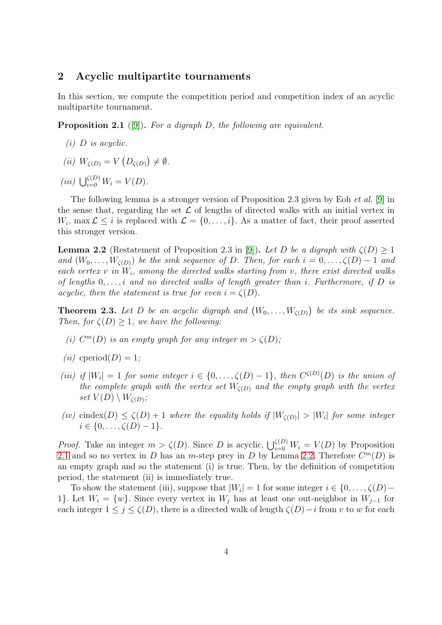# 2 Acyclic multipartite tournaments

In this section, we compute the competition period and competition index of an acyclic multipartite tournament.

<span id="page-3-1"></span>**Proposition 2.1** ([\[9\]](#page-18-11)). For a digraph D, the following are equivalent.

- $(i)$  D is acyclic.
- (*ii*)  $W_{\zeta(D)} = V(D_{\zeta(D)}) \neq \emptyset$ .

(iii)  $\bigcup_{i=0}^{\zeta(D)} W_i = V(D).$ 

The following lemma is a stronger version of Proposition 2.3 given by Eoh et al. [\[9\]](#page-18-11) in the sense that, regarding the set  $\mathcal L$  of lengths of directed walks with an initial vertex in  $W_i$ , max  $\mathcal{L} \leq i$  is replaced with  $\mathcal{L} = \{0, \ldots, i\}$ . As a matter of fact, their proof asserted this stronger version.

<span id="page-3-2"></span>**Lemma 2.2** (Restatement of Proposition 2.3 in [\[9\]](#page-18-11)). Let D be a digraph with  $\zeta(D) > 1$ and  $(W_0, \ldots, W_{\zeta(D)})$  be the sink sequence of D. Then, for each  $i = 0, \ldots, \zeta(D) - 1$  and each vertex  $v$  in  $W_i$ , among the directed walks starting from  $v$ , there exist directed walks of lengths  $0, \ldots, i$  and no directed walks of length greater than i. Furthermore, if D is acyclic, then the statement is true for even  $i = \zeta(D)$ .

<span id="page-3-0"></span>**Theorem 2.3.** Let D be an acyclic digraph and  $(W_0, \ldots, W_{\zeta(D)})$  be its sink sequence. Then, for  $\zeta(D) \geq 1$ , we have the following:

- (i)  $C^m(D)$  is an empty graph for any integer  $m > \zeta(D)$ ;
- (*ii*) cperiod(*D*) = 1;
- (iii) if  $|W_i| = 1$  for some integer  $i \in \{0, ..., \zeta(D) 1\}$ , then  $C^{\zeta(D)}(D)$  is the union of the complete graph with the vertex set  $W_{\zeta(D)}$  and the empty graph with the vertex set  $V(D)\setminus W_{\zeta(D)}$  ;
- (iv) cindex(D)  $\leq \zeta(D)+1$  where the equality holds if  $|W_{\zeta(D)}|>|W_i|$  for some integer  $i \in \{0, \ldots, \zeta(D)-1\}.$

*Proof.* Take an integer  $m > \zeta(D)$ . Since D is acyclic,  $\bigcup_{i=0}^{\zeta(D)} W_i = V(D)$  by Proposition [2.1](#page-3-1) and so no vertex in D has an m-step prey in D by Lemma [2.2.](#page-3-2) Therefore  $C^m(D)$  is an empty graph and so the statement (i) is true. Then, by the definition of competition period, the statement (ii) is immediately true.

To show the statement (iii), suppose that  $|W_i| = 1$  for some integer  $i \in \{0, \ldots, \zeta(D) - \zeta(D)\}$ 1}. Let  $W_i = \{w\}$ . Since every vertex in  $W_i$  has at least one out-neighbor in  $W_{i-1}$  for each integer  $1 \leq j \leq \zeta(D)$ , there is a directed walk of length  $\zeta(D) - i$  from v to w for each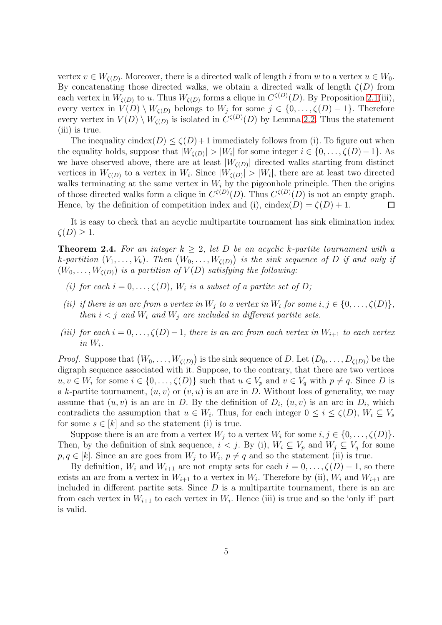vertex  $v \in W_{\zeta(D)}$ . Moreover, there is a directed walk of length i from w to a vertex  $u \in W_0$ . By concatenating those directed walks, we obtain a directed walk of length  $\zeta(D)$  from each vertex in  $W_{\zeta(D)}$  to u. Thus  $W_{\zeta(D)}$  forms a clique in  $C^{\zeta(D)}(D)$ . By Proposition [2.1\(](#page-3-1)iii), every vertex in  $V(D) \setminus W_{\zeta(D)}$  belongs to  $W_j$  for some  $j \in \{0, \ldots, \zeta(D) - 1\}$ . Therefore every vertex in  $V(D) \setminus W_{\zeta(D)}$  is isolated in  $C^{\zeta(D)}(D)$  by Lemma [2.2.](#page-3-2) Thus the statement (iii) is true.

The inequality cindex $(D) \le \zeta(D)+1$  immediately follows from (i). To figure out when the equality holds, suppose that  $|W_{\zeta(D)}| > |W_i|$  for some integer  $i \in \{0, \ldots, \zeta(D) - 1\}$ . As we have observed above, there are at least  $|W_{\zeta(D)}|$  directed walks starting from distinct vertices in  $W_{\zeta(D)}$  to a vertex in  $W_i$ . Since  $|W_{\zeta(D)}| > |W_i|$ , there are at least two directed walks terminating at the same vertex in  $W_i$  by the pigeonhole principle. Then the origins of those directed walks form a clique in  $C^{\zeta(D)}(D)$ . Thus  $C^{\zeta(D)}(D)$  is not an empty graph. Hence, by the definition of competition index and (i), cindex(D) =  $\zeta(D) + 1$ .  $\Box$ 

It is easy to check that an acyclic multipartite tournament has sink elimination index  $\zeta(D) > 1$ .

<span id="page-4-0"></span>**Theorem 2.4.** For an integer  $k > 2$ , let D be an acyclic k-partite tournament with a k-partition  $(V_1,\ldots,V_k)$ . Then  $(W_0,\ldots,W_{\zeta(D)})$  is the sink sequence of D if and only if  $(W_0, \ldots, W_{\zeta(D)})$  is a partition of  $V(D)$  satisfying the following:

- (i) for each  $i = 0, \ldots, \zeta(D)$ ,  $W_i$  is a subset of a partite set of D;
- (ii) if there is an arc from a vertex in  $W_j$  to a vertex in  $W_i$  for some  $i, j \in \{0, \ldots, \zeta(D)\},$ then  $i < j$  and  $W_i$  and  $W_j$  are included in different partite sets.
- (iii) for each  $i = 0, \ldots, \zeta(D)-1$ , there is an arc from each vertex in  $W_{i+1}$  to each vertex in  $W_i$ .

*Proof.* Suppose that  $(W_0, \ldots, W_{\zeta(D)})$  is the sink sequence of D. Let  $(D_0, \ldots, D_{\zeta(D)})$  be the digraph sequence associated with it. Suppose, to the contrary, that there are two vertices  $u, v \in W_i$  for some  $i \in \{0, \ldots, \zeta(D)\}\$  such that  $u \in V_p$  and  $v \in V_q$  with  $p \neq q$ . Since D is a k-partite tournament,  $(u, v)$  or  $(v, u)$  is an arc in D. Without loss of generality, we may assume that  $(u, v)$  is an arc in D. By the definition of  $D_i$ ,  $(u, v)$  is an arc in  $D_i$ , which contradicts the assumption that  $u \in W_i$ . Thus, for each integer  $0 \leq i \leq \zeta(D)$ ,  $W_i \subseteq V_s$ for some  $s \in [k]$  and so the statement (i) is true.

Suppose there is an arc from a vertex  $W_j$  to a vertex  $W_i$  for some  $i, j \in \{0, \ldots, \zeta(D)\}.$ Then, by the definition of sink sequence,  $i < j$ . By (i),  $W_i \subseteq V_p$  and  $W_j \subseteq V_q$  for some  $p, q \in [k]$ . Since an arc goes from  $W_j$  to  $W_i$ ,  $p \neq q$  and so the statement (ii) is true.

By definition,  $W_i$  and  $W_{i+1}$  are not empty sets for each  $i = 0, \ldots, \zeta(D) - 1$ , so there exists an arc from a vertex in  $W_{i+1}$  to a vertex in  $W_i$ . Therefore by (ii),  $W_i$  and  $W_{i+1}$  are included in different partite sets. Since  $D$  is a multipartite tournament, there is an arc from each vertex in  $W_{i+1}$  to each vertex in  $W_i$ . Hence (iii) is true and so the 'only if' part is valid.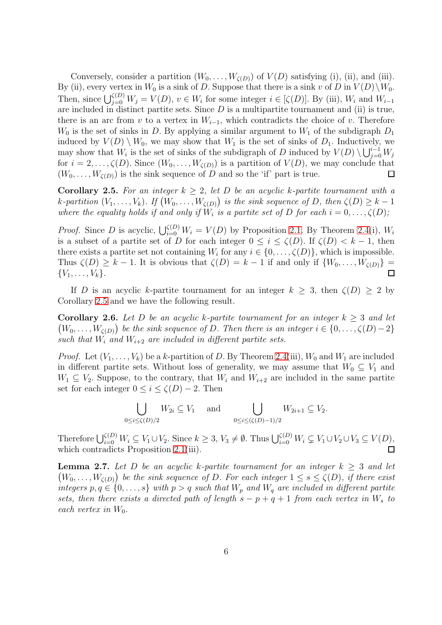Conversely, consider a partition  $(W_0, \ldots, W_{\zeta(D)})$  of  $V(D)$  satisfying (i), (ii), and (iii). By (ii), every vertex in  $W_0$  is a sink of D. Suppose that there is a sink v of D in  $V(D)\backslash W_0$ . Then, since  $\bigcup_{j=0}^{\zeta(D)} W_j = V(D)$ ,  $v \in W_i$  for some integer  $i \in [\zeta(D)]$ . By (iii),  $W_i$  and  $W_{i-1}$ are included in distinct partite sets. Since  $D$  is a multipartite tournament and (ii) is true, there is an arc from v to a vertex in  $W_{i-1}$ , which contradicts the choice of v. Therefore  $W_0$  is the set of sinks in D. By applying a similar argument to  $W_1$  of the subdigraph  $D_1$ induced by  $V(D) \setminus W_0$ , we may show that  $W_1$  is the set of sinks of  $D_1$ . Inductively, we may show that  $W_i$  is the set of sinks of the subdigraph of D induced by  $V(D) \setminus \bigcup_{j=0}^{i-1} W_j$ for  $i = 2, \ldots, \zeta(D)$ . Since  $(W_0, \ldots, W_{\zeta(D)})$  is a partition of  $V(D)$ , we may conclude that  $(W_0, \ldots, W_{\zeta(D)})$  is the sink sequence of D and so the 'if' part is true.  $\Box$ 

<span id="page-5-0"></span>**Corollary 2.5.** For an integer  $k > 2$ , let D be an acyclic k-partite tournament with a k-partition  $(V_1,\ldots,V_k)$ . If  $(W_0,\ldots,W_{\zeta(D)})$  is the sink sequence of D, then  $\zeta(D) \geq k-1$ where the equality holds if and only if  $W_i$  is a partite set of D for each  $i = 0, \ldots, \zeta(D)$ ;

*Proof.* Since D is acyclic,  $\bigcup_{i=0}^{\zeta(D)} W_i = V(D)$  by Proposition [2.1.](#page-3-1) By Theorem [2.4\(](#page-4-0)i),  $W_i$ is a subset of a partite set of D for each integer  $0 \leq i \leq \zeta(D)$ . If  $\zeta(D) < k-1$ , then there exists a partite set not containing  $W_i$  for any  $i \in \{0, \ldots, \zeta(D)\}\)$ , which is impossible. Thus  $\zeta(D) \geq k - 1$ . It is obvious that  $\zeta(D) = k - 1$  if and only if  $\{W_0, \ldots, W_{\zeta(D)}\} =$  $\{V_1, \ldots, V_k\}.$  $\Box$ 

If D is an acyclic k-partite tournament for an integer  $k \geq 3$ , then  $\zeta(D) \geq 2$  by Corollary [2.5](#page-5-0) and we have the following result.

<span id="page-5-2"></span>**Corollary 2.6.** Let D be an acyclic k-partite tournament for an integer  $k > 3$  and let  $(W_0, \ldots, W_{\zeta(D)})$  be the sink sequence of D. Then there is an integer  $i \in \{0, \ldots, \zeta(D)-2\}$ such that  $W_i$  and  $W_{i+2}$  are included in different partite sets.

*Proof.* Let  $(V_1, \ldots, V_k)$  be a k-partition of D. By Theorem [2.4\(](#page-4-0)iii),  $W_0$  and  $W_1$  are included in different partite sets. Without loss of generality, we may assume that  $W_0 \subseteq V_1$  and  $W_1 \subseteq V_2$ . Suppose, to the contrary, that  $W_i$  and  $W_{i+2}$  are included in the same partite set for each integer  $0 \leq i \leq \zeta(D) - 2$ . Then

$$
\bigcup_{0 \le i \le \zeta(D)/2} W_{2i} \subseteq V_1 \quad \text{and} \quad \bigcup_{0 \le i \le \zeta(D)-1)/2} W_{2i+1} \subseteq V_2.
$$

Therefore  $\bigcup_{i=0}^{\zeta(D)} W_i \subseteq V_1 \cup V_2$ . Since  $k \geq 3, V_3 \neq \emptyset$ . Thus  $\bigcup_{i=0}^{\zeta(D)} W_i \subsetneq V_1 \cup V_2 \cup V_3 \subseteq V(D)$ , which contradicts Proposition [2.1\(](#page-3-1)iii).  $\Box$ 

<span id="page-5-1"></span>**Lemma 2.7.** Let D be an acyclic k-partite tournament for an integer  $k > 3$  and let  $(W_0, \ldots, W_{\zeta(D)})$  be the sink sequence of D. For each integer  $1 \leq s \leq \zeta(D)$ , if there exist integers  $p, q \in \{0, \ldots, s\}$  with  $p > q$  such that  $W_p$  and  $W_q$  are included in different partite sets, then there exists a directed path of length  $s - p + q + 1$  from each vertex in  $W_s$  to each vertex in  $W_0$ .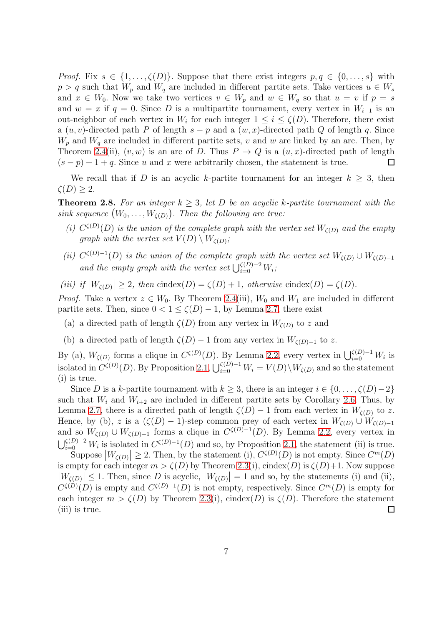*Proof.* Fix  $s \in \{1, \ldots, \zeta(D)\}\)$ . Suppose that there exist integers  $p, q \in \{0, \ldots, s\}$  with  $p > q$  such that  $W_p$  and  $W_q$  are included in different partite sets. Take vertices  $u \in W_s$ and  $x \in W_0$ . Now we take two vertices  $v \in W_p$  and  $w \in W_q$  so that  $u = v$  if  $p = s$ and  $w = x$  if  $q = 0$ . Since D is a multipartite tournament, every vertex in  $W_{i-1}$  is an out-neighbor of each vertex in  $W_i$  for each integer  $1 \leq i \leq \zeta(D)$ . Therefore, there exist a  $(u, v)$ -directed path P of length  $s - p$  and a  $(w, x)$ -directed path Q of length q. Since  $W_p$  and  $W_q$  are included in different partite sets, v and w are linked by an arc. Then, by Theorem [2.4\(](#page-4-0)ii),  $(v, w)$  is an arc of D. Thus  $P \to Q$  is a  $(u, x)$ -directed path of length  $(s - p) + 1 + q$ . Since u and x were arbitrarily chosen, the statement is true.  $\Box$ 

We recall that if D is an acyclic k-partite tournament for an integer  $k \geq 3$ , then  $\zeta(D) \geq 2.$ 

<span id="page-6-0"></span>**Theorem 2.8.** For an integer  $k > 3$ , let D be an acyclic k-partite tournament with the sink sequence  $(W_0, \ldots, W_{\zeta(D)})$ . Then the following are true:

- (i)  $C^{\zeta(D)}(D)$  is the union of the complete graph with the vertex set  $W_{\zeta(D)}$  and the empty graph with the vertex set  $V(D) \setminus W_{\zeta(D)}$ ;
- (ii)  $C^{\zeta(D)-1}(D)$  is the union of the complete graph with the vertex set  $W_{\zeta(D)} \cup W_{\zeta(D)-1}$ and the empty graph with the vertex set  $\bigcup_{i=0}^{\zeta(D)-2} W_i$ ;

(iii) if  $|W_{\zeta(D)}| \geq 2$ , then cindex(D) =  $\zeta(D) + 1$ , otherwise cindex(D) =  $\zeta(D)$ .

*Proof.* Take a vertex  $z \in W_0$ . By Theorem [2.4\(](#page-4-0)iii),  $W_0$  and  $W_1$  are included in different partite sets. Then, since  $0 < 1 \le \zeta(D) - 1$ , by Lemma [2.7,](#page-5-1) there exist

- (a) a directed path of length  $\zeta(D)$  from any vertex in  $W_{\zeta(D)}$  to z and
- (b) a directed path of length  $\zeta(D) 1$  from any vertex in  $W_{\zeta(D)-1}$  to z.

By (a),  $W_{\zeta(D)}$  forms a clique in  $C^{\zeta(D)}(D)$ . By Lemma [2.2,](#page-3-2) every vertex in  $\bigcup_{i=0}^{\zeta(D)-1} W_i$  is isolated in  $C^{\zeta(D)}(D)$ . By Proposition [2.1,](#page-3-1)  $\bigcup_{i=0}^{\zeta(D)-1} W_i = V(D) \setminus W_{\zeta(D)}$  and so the statement (i) is true.

Since D is a k-partite tournament with  $k \geq 3$ , there is an integer  $i \in \{0, \ldots, \zeta(D)-2\}$ such that  $W_i$  and  $W_{i+2}$  are included in different partite sets by Corollary [2.6.](#page-5-2) Thus, by Lemma [2.7,](#page-5-1) there is a directed path of length  $\zeta(D) - 1$  from each vertex in  $W_{\zeta(D)}$  to z. Hence, by (b), z is a  $(\zeta(D) - 1)$ -step common prey of each vertex in  $W_{\zeta(D)} \cup W_{\zeta(D)-1}$ and so  $W_{\zeta(D)} \cup W_{\zeta(D)-1}$  forms a clique in  $C^{\zeta(D)-1}(D)$ . By Lemma [2.2,](#page-3-2) every vertex in  $\bigcup_{i=0}^{(\zeta(D)-2)} W_i$  is isolated in  $C^{\zeta(D)-1}(D)$  and so, by Proposition [2.1,](#page-3-1) the statement (ii) is true.

<span id="page-6-1"></span>Suppose  $|W_{\zeta(D)}| \geq 2$ . Then, by the statement (i),  $C^{\zeta(D)}(D)$  is not empty. Since  $C^m(D)$ is empty for each integer  $m > \zeta(D)$  by Theorem [2.3\(](#page-3-0)i), cindex(D) is  $\zeta(D)+1$ . Now suppose  $|W_{\zeta(D)}| \leq 1$ . Then, since D is acyclic,  $|W_{\zeta(D)}| = 1$  and so, by the statements (i) and (ii),  $\widetilde{\zeta(D)} \leq 1$ .  $C^{(\mathcal{L})}(D)$  is empty and  $C^{(\mathcal{L})-1}(D)$  is not empty, respectively. Since  $C^m(D)$  is empty for each integer  $m > \zeta(D)$  by Theorem [2.3\(](#page-3-0)i), cindex(D) is  $\zeta(D)$ . Therefore the statement (iii) is true.  $\Box$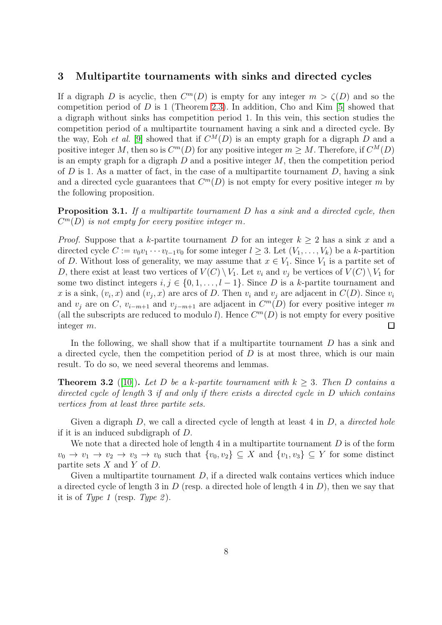## 3 Multipartite tournaments with sinks and directed cycles

If a digraph D is acyclic, then  $C^m(D)$  is empty for any integer  $m > \zeta(D)$  and so the competition period of  $D$  is 1 (Theorem [2.3\)](#page-3-0). In addition, Cho and Kim [\[5\]](#page-18-8) showed that a digraph without sinks has competition period 1. In this vein, this section studies the competition period of a multipartite tournament having a sink and a directed cycle. By the way, Eoh *et al.* [\[9\]](#page-18-11) showed that if  $C^{M}(D)$  is an empty graph for a digraph D and a positive integer M, then so is  $C^m(D)$  for any positive integer  $m \geq M$ . Therefore, if  $C^M(D)$ is an empty graph for a digraph  $D$  and a positive integer  $M$ , then the competition period of  $D$  is 1. As a matter of fact, in the case of a multipartite tournament  $D$ , having a sink and a directed cycle guarantees that  $C<sup>m</sup>(D)$  is not empty for every positive integer m by the following proposition.

<span id="page-7-1"></span>**Proposition 3.1.** If a multipartite tournament D has a sink and a directed cycle, then  $C^m(D)$  is not empty for every positive integer m.

*Proof.* Suppose that a k-partite tournament D for an integer  $k \geq 2$  has a sink x and a directed cycle  $C := v_0v_1 \cdots v_{l-1}v_0$  for some integer  $l \geq 3$ . Let  $(V_1, \ldots, V_k)$  be a k-partition of D. Without loss of generality, we may assume that  $x \in V_1$ . Since  $V_1$  is a partite set of D, there exist at least two vertices of  $V(C) \setminus V_1$ . Let  $v_i$  and  $v_j$  be vertices of  $V(C) \setminus V_1$  for some two distinct integers  $i, j \in \{0, 1, \ldots, l-1\}$ . Since D is a k-partite tournament and x is a sink,  $(v_i, x)$  and  $(v_j, x)$  are arcs of D. Then  $v_i$  and  $v_j$  are adjacent in  $C(D)$ . Since  $v_i$ and  $v_j$  are on C,  $v_{i-m+1}$  and  $v_{j-m+1}$  are adjacent in  $C^m(D)$  for every positive integer m (all the subscripts are reduced to modulo l). Hence  $C^m(D)$  is not empty for every positive integer m.  $\Box$ 

In the following, we shall show that if a multipartite tournament D has a sink and a directed cycle, then the competition period of  $D$  is at most three, which is our main result. To do so, we need several theorems and lemmas.

<span id="page-7-0"></span>**Theorem 3.2** ([\[10\]](#page-18-13)). Let D be a k-partite tournament with  $k \geq 3$ . Then D contains a directed cycle of length 3 if and only if there exists a directed cycle in D which contains vertices from at least three partite sets.

Given a digraph  $D$ , we call a directed cycle of length at least 4 in  $D$ , a *directed hole* if it is an induced subdigraph of D.

We note that a directed hole of length 4 in a multipartite tournament  $D$  is of the form  $v_0 \to v_1 \to v_2 \to v_3 \to v_0$  such that  $\{v_0, v_2\} \subseteq X$  and  $\{v_1, v_3\} \subseteq Y$  for some distinct partite sets  $X$  and  $Y$  of  $D$ .

Given a multipartite tournament  $D$ , if a directed walk contains vertices which induce a directed cycle of length 3 in D (resp. a directed hole of length 4 in D), then we say that it is of Type 1 (resp. Type 2).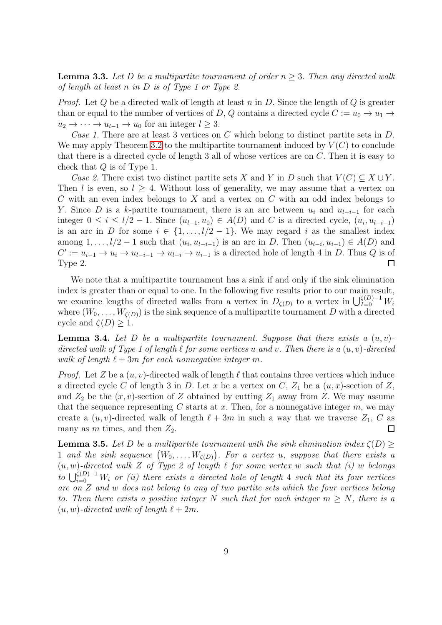<span id="page-8-2"></span>**Lemma 3.3.** Let D be a multipartite tournament of order  $n \geq 3$ . Then any directed walk of length at least n in D is of Type 1 or Type 2.

*Proof.* Let Q be a directed walk of length at least n in D. Since the length of Q is greater than or equal to the number of vertices of D, Q contains a directed cycle  $C := u_0 \to u_1 \to$  $u_2 \to \cdots \to u_{l-1} \to u_0$  for an integer  $l \geq 3$ .

Case 1. There are at least 3 vertices on  $C$  which belong to distinct partite sets in  $D$ . We may apply Theorem [3.2](#page-7-0) to the multipartite tournament induced by  $V(C)$  to conclude that there is a directed cycle of length 3 all of whose vertices are on C. Then it is easy to check that Q is of Type 1.

Case 2. There exist two distinct partite sets X and Y in D such that  $V(C) \subseteq X \cup Y$ . Then l is even, so  $l \geq 4$ . Without loss of generality, we may assume that a vertex on C with an even index belongs to X and a vertex on C with an odd index belongs to Y. Since D is a k-partite tournament, there is an arc between  $u_i$  and  $u_{l-i-1}$  for each integer  $0 \le i \le l/2 - 1$ . Since  $(u_{l-1}, u_0) \in A(D)$  and C is a directed cycle,  $(u_i, u_{l-i-1})$ is an arc in D for some  $i \in \{1, \ldots, l/2-1\}$ . We may regard i as the smallest index among  $1, \ldots, l/2-1$  such that  $(u_i, u_{l-i-1})$  is an arc in D. Then  $(u_{l-i}, u_{i-1}) \in A(D)$  and  $C' := u_{i-1} \to u_i \to u_{i-i-1} \to u_{i-i} \to u_{i-1}$  is a directed hole of length 4 in D. Thus Q is of Type 2.  $\Box$ 

We note that a multipartite tournament has a sink if and only if the sink elimination index is greater than or equal to one. In the following five results prior to our main result, we examine lengths of directed walks from a vertex in  $D_{\zeta(D)}$  to a vertex in  $\bigcup_{I=0}^{\zeta(D)-1} W_i$ where  $(W_0, \ldots, W_{\zeta(D)})$  is the sink sequence of a multipartite tournament D with a directed cycle and  $\zeta(D) \geq 1$ .

<span id="page-8-0"></span>**Lemma 3.4.** Let D be a multipartite tournament. Suppose that there exists a  $(u, v)$ directed walk of Type 1 of length  $\ell$  for some vertices u and v. Then there is a  $(u, v)$ -directed walk of length  $\ell + 3m$  for each nonnegative integer m.

*Proof.* Let Z be a  $(u, v)$ -directed walk of length  $\ell$  that contains three vertices which induce a directed cycle C of length 3 in D. Let x be a vertex on C,  $Z_1$  be a  $(u, x)$ -section of Z, and  $Z_2$  be the  $(x, v)$ -section of Z obtained by cutting  $Z_1$  away from Z. We may assume that the sequence representing C starts at x. Then, for a nonnegative integer  $m$ , we may create a  $(u, v)$ -directed walk of length  $\ell + 3m$  in such a way that we traverse  $Z_1, C$  as many as m times, and then  $Z_2$ .  $\Box$ 

<span id="page-8-1"></span>**Lemma 3.5.** Let D be a multipartite tournament with the sink elimination index  $\zeta(D) \geq$ 1 and the sink sequence  $(W_0, \ldots, W_{\zeta(D)})$ . For a vertex u, suppose that there exists a  $(u, w)$ -directed walk Z of Type 2 of length  $\ell$  for some vertex w such that (i) w belongs to  $\bigcup_{i=0}^{\zeta(D)-1}W_i$  or (ii) there exists a directed hole of length 4 such that its four vertices are on Z and w does not belong to any of two partite sets which the four vertices belong to. Then there exists a positive integer N such that for each integer  $m \geq N$ , there is a  $(u, w)$ -directed walk of length  $\ell + 2m$ .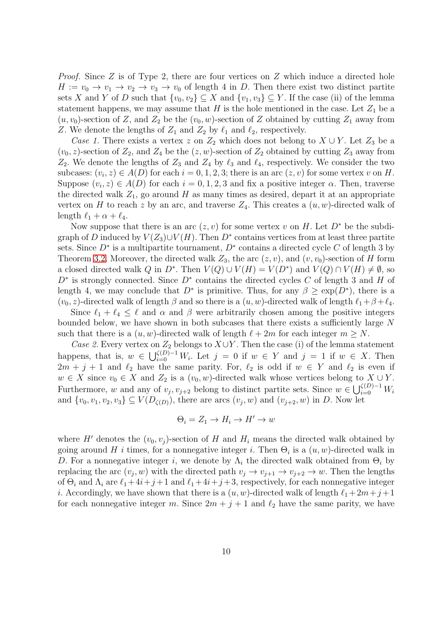Proof. Since Z is of Type 2, there are four vertices on Z which induce a directed hole  $H := v_0 \to v_1 \to v_2 \to v_3 \to v_0$  of length 4 in D. Then there exist two distinct partite sets X and Y of D such that  $\{v_0, v_2\} \subseteq X$  and  $\{v_1, v_3\} \subseteq Y$ . If the case (ii) of the lemma statement happens, we may assume that H is the hole mentioned in the case. Let  $Z_1$  be a  $(u, v_0)$ -section of Z, and  $Z_2$  be the  $(v_0, w)$ -section of Z obtained by cutting  $Z_1$  away from Z. We denote the lengths of  $Z_1$  and  $Z_2$  by  $\ell_1$  and  $\ell_2$ , respectively.

Case 1. There exists a vertex z on  $Z_2$  which does not belong to  $X \cup Y$ . Let  $Z_3$  be a  $(v_0, z)$ -section of  $Z_2$ , and  $Z_4$  be the  $(z, w)$ -section of  $Z_2$  obtained by cutting  $Z_3$  away from  $Z_2$ . We denote the lengths of  $Z_3$  and  $Z_4$  by  $\ell_3$  and  $\ell_4$ , respectively. We consider the two subcases:  $(v_i, z) \in A(D)$  for each  $i = 0, 1, 2, 3$ ; there is an arc  $(z, v)$  for some vertex v on H. Suppose  $(v_i, z) \in A(D)$  for each  $i = 0, 1, 2, 3$  and fix a positive integer  $\alpha$ . Then, traverse the directed walk  $Z_1$ , go around H as many times as desired, depart it at an appropriate vertex on H to reach z by an arc, and traverse  $Z_4$ . This creates a  $(u, w)$ -directed walk of length  $\ell_1 + \alpha + \ell_4$ .

Now suppose that there is an arc  $(z, v)$  for some vertex v on H. Let  $D^*$  be the subdigraph of D induced by  $V(Z_3) \cup V(H)$ . Then  $D^*$  contains vertices from at least three partite sets. Since  $D^*$  is a multipartite tournament,  $D^*$  contains a directed cycle C of length 3 by Theorem [3.2.](#page-7-0) Moreover, the directed walk  $Z_3$ , the arc  $(z, v)$ , and  $(v, v_0)$ -section of H form a closed directed walk Q in D<sup>∗</sup>. Then  $V(Q) \cup V(H) = V(D^*)$  and  $V(Q) \cap V(H) \neq \emptyset$ , so  $D^*$  is strongly connected. Since  $D^*$  contains the directed cycles C of length 3 and H of length 4, we may conclude that  $D^*$  is primitive. Thus, for any  $\beta \geq \exp(D^*)$ , there is a  $(v_0, z)$ -directed walk of length  $\beta$  and so there is a  $(u, w)$ -directed walk of length  $\ell_1 + \beta + \ell_4$ .

Since  $\ell_1 + \ell_4 \leq \ell$  and  $\alpha$  and  $\beta$  were arbitrarily chosen among the positive integers bounded below, we have shown in both subcases that there exists a sufficiently large N such that there is a  $(u, w)$ -directed walk of length  $\ell + 2m$  for each integer  $m \geq N$ .

Case 2. Every vertex on  $Z_2$  belongs to  $X \cup Y$ . Then the case (i) of the lemma statement happens, that is,  $w \in \bigcup_{i=0}^{(D)-1} W_i$ . Let  $j = 0$  if  $w \in Y$  and  $j = 1$  if  $w \in X$ . Then  $2m + j + 1$  and  $\ell_2$  have the same parity. For,  $\ell_2$  is odd if  $w \in Y$  and  $\ell_2$  is even if  $w \in X$  since  $v_0 \in X$  and  $Z_2$  is a  $(v_0, w)$ -directed walk whose vertices belong to  $X \cup Y$ . Furthermore, w and any of  $v_j, v_{j+2}$  belong to distinct partite sets. Since  $w \in \bigcup_{i=0}^{\zeta(D)-1} W_i$ and  $\{v_0, v_1, v_2, v_3\} \subseteq V(D_{\zeta(D)})$ , there are arcs  $(v_j, w)$  and  $(v_{j+2}, w)$  in D. Now let

$$
\Theta_i = Z_1 \to H_i \to H' \to w
$$

where H' denotes the  $(v_0, v_j)$ -section of H and  $H_i$  means the directed walk obtained by going around H *i* times, for a nonnegative integer *i*. Then  $\Theta_i$  is a  $(u, w)$ -directed walk in D. For a nonnegative integer i, we denote by  $\Lambda_i$  the directed walk obtained from  $\Theta_i$  by replacing the arc  $(v_j, w)$  with the directed path  $v_j \to v_{j+1} \to v_{j+2} \to w$ . Then the lengths of  $\Theta_i$  and  $\Lambda_i$  are  $\ell_1 + 4i + j + 1$  and  $\ell_1 + 4i + j + 3$ , respectively, for each nonnegative integer *i*. Accordingly, we have shown that there is a  $(u, w)$ -directed walk of length  $\ell_1 + 2m + j + 1$ for each nonnegative integer m. Since  $2m + j + 1$  and  $\ell_2$  have the same parity, we have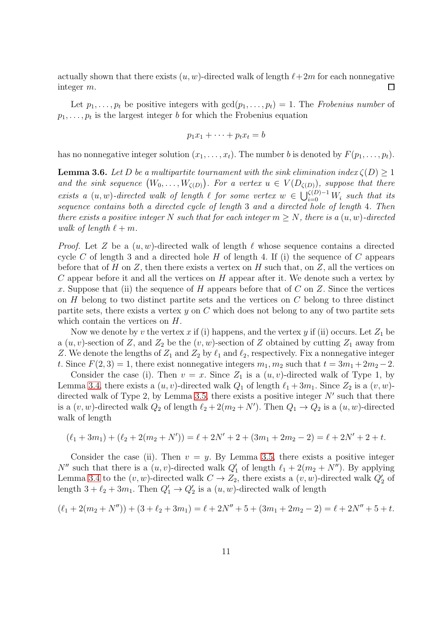actually shown that there exists  $(u, w)$ -directed walk of length  $\ell + 2m$  for each nonnegative integer m.  $\Box$ 

Let  $p_1, \ldots, p_t$  be positive integers with  $gcd(p_1, \ldots, p_t) = 1$ . The Frobenius number of  $p_1, \ldots, p_t$  is the largest integer b for which the Frobenius equation

$$
p_1x_1 + \cdots + p_tx_t = b
$$

has no nonnegative integer solution  $(x_1, \ldots, x_t)$ . The number b is denoted by  $F(p_1, \ldots, p_t)$ .

<span id="page-10-0"></span>**Lemma 3.6.** Let D be a multipartite tournament with the sink elimination index  $\zeta(D) > 1$ and the sink sequence  $(W_0, \ldots, W_{\zeta(D)})$ . For a vertex  $u \in V(D_{\zeta(D)})$ , suppose that there exists a  $(u, w)$ -directed walk of length  $\ell$  for some vertex  $w \in \bigcup_{i=0}^{\zeta(D)-1} W_i$  such that its sequence contains both a directed cycle of length 3 and a directed hole of length 4. Then there exists a positive integer N such that for each integer  $m \geq N$ , there is a  $(u, w)$ -directed walk of length  $\ell + m$ .

*Proof.* Let Z be a  $(u, w)$ -directed walk of length  $\ell$  whose sequence contains a directed cycle C of length 3 and a directed hole  $H$  of length 4. If (i) the sequence of C appears before that of H on Z, then there exists a vertex on H such that, on Z, all the vertices on  $C$  appear before it and all the vertices on  $H$  appear after it. We denote such a vertex by x. Suppose that (ii) the sequence of H appears before that of C on Z. Since the vertices on  $H$  belong to two distinct partite sets and the vertices on  $C$  belong to three distinct partite sets, there exists a vertex  $y$  on  $C$  which does not belong to any of two partite sets which contain the vertices on  $H$ .

Now we denote by v the vertex x if (i) happens, and the vertex y if (ii) occurs. Let  $Z_1$  be a  $(u, v)$ -section of Z, and  $Z_2$  be the  $(v, w)$ -section of Z obtained by cutting  $Z_1$  away from Z. We denote the lengths of  $Z_1$  and  $Z_2$  by  $\ell_1$  and  $\ell_2$ , respectively. Fix a nonnegative integer t. Since  $F(2, 3) = 1$ , there exist nonnegative integers  $m_1, m_2$  such that  $t = 3m_1 + 2m_2 - 2$ .

Consider the case (i). Then  $v = x$ . Since  $Z_1$  is a  $(u, v)$ -directed walk of Type 1, by Lemma [3.4,](#page-8-0) there exists a  $(u, v)$ -directed walk  $Q_1$  of length  $\ell_1 + 3m_1$ . Since  $Z_2$  is a  $(v, w)$ -directed walk of Type 2, by Lemma [3.5,](#page-8-1) there exists a positive integer  $N'$  such that there is a  $(v, w)$ -directed walk  $Q_2$  of length  $\ell_2 + 2(m_2 + N')$ . Then  $Q_1 \to Q_2$  is a  $(u, w)$ -directed walk of length

$$
(\ell_1 + 3m_1) + (\ell_2 + 2(m_2 + N')) = \ell + 2N' + 2 + (3m_1 + 2m_2 - 2) = \ell + 2N' + 2 + t.
$$

Consider the case (ii). Then  $v = y$ . By Lemma [3.5,](#page-8-1) there exists a positive integer  $N''$  such that there is a  $(u, v)$ -directed walk  $Q'_1$  of length  $\ell_1 + 2(m_2 + N'')$ . By applying Lemma [3.4](#page-8-0) to the  $(v, w)$ -directed walk  $C \to Z_2$ , there exists a  $(v, w)$ -directed walk  $Q'_2$  of length  $3 + \ell_2 + 3m_1$ . Then  $Q'_1 \to Q'_2$  is a  $(u, w)$ -directed walk of length

$$
(\ell_1 + 2(m_2 + N'')) + (3 + \ell_2 + 3m_1) = \ell + 2N'' + 5 + (3m_1 + 2m_2 - 2) = \ell + 2N'' + 5 + t.
$$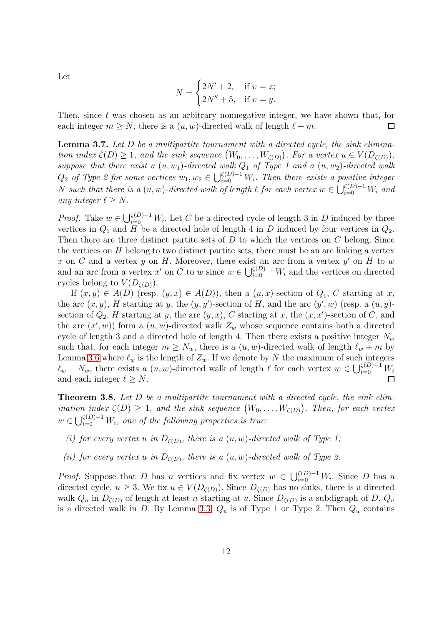Let

$$
N = \begin{cases} 2N' + 2, & \text{if } v = x; \\ 2N'' + 5, & \text{if } v = y. \end{cases}
$$

Then, since  $t$  was chosen as an arbitrary nonnegative integer, we have shown that, for each integer  $m > N$ , there is a  $(u, w)$ -directed walk of length  $l + m$ .  $\Box$ 

<span id="page-11-1"></span>**Lemma 3.7.** Let  $D$  be a multipartite tournament with a directed cycle, the sink elimination index  $\zeta(D) \geq 1$ , and the sink sequence  $(W_0, \ldots, W_{\zeta(D)})$ . For a vertex  $u \in V(D_{\zeta(D)})$ , suppose that there exist a  $(u, w_1)$ -directed walk  $Q_1$  of Type 1 and a  $(u, w_2)$ -directed walk  $Q_2$  of Type 2 for some vertices  $w_1, w_2 \in \bigcup_{i=0}^{\zeta(D)-1} W_i$ . Then there exists a positive integer N such that there is a  $(u, w)$ -directed walk of length  $\ell$  for each vertex  $w \in \bigcup_{i=0}^{\zeta(D)-1} W_i$  and any integer  $\ell \geq N$ .

*Proof.* Take  $w \in \bigcup_{i=0}^{\zeta(D)-1} W_i$ . Let C be a directed cycle of length 3 in D induced by three vertices in  $Q_1$  and H be a directed hole of length 4 in D induced by four vertices in  $Q_2$ . Then there are three distinct partite sets of D to which the vertices on C belong. Since the vertices on  $H$  belong to two distinct partite sets, there must be an arc linking a vertex x on C and a vertex y on H. Moreover, there exist an arc from a vertex  $y'$  on H to w and an arc from a vertex  $x'$  on C to w since  $w \in \bigcup_{i=0}^{\zeta(D)-1} W_i$  and the vertices on directed cycles belong to  $V(D_{\zeta(D)})$ .

If  $(x, y) \in A(D)$  (resp.  $(y, x) \in A(D)$ ), then a  $(u, x)$ -section of  $Q_1$ , C starting at x, the arc  $(x, y)$ , H starting at y, the  $(y, y')$ -section of H, and the arc  $(y', w)$  (resp. a  $(u, y)$ section of  $Q_2$ , H starting at y, the arc  $(y, x)$ , C starting at x, the  $(x, x')$ -section of C, and the arc  $(x', w)$  form a  $(u, w)$ -directed walk  $Z_w$  whose sequence contains both a directed cycle of length 3 and a directed hole of length 4. Then there exists a positive integer  $N_w$ such that, for each integer  $m \geq N_w$ , there is a  $(u, w)$ -directed walk of length  $\ell_w + m$  by Lemma [3.6](#page-10-0) where  $\ell_w$  is the length of  $Z_w$ . If we denote by N the maximum of such integers  $\ell_w + N_w$ , there exists a  $(u, w)$ -directed walk of length  $\ell$  for each vertex  $w \in \bigcup_{i=0}^{\zeta(D)-1} W_i$ and each integer  $\ell \geq N$ .

<span id="page-11-0"></span>**Theorem 3.8.** Let  $D$  be a multipartite tournament with a directed cycle, the sink elimination index  $\zeta(D) \geq 1$ , and the sink sequence  $(W_0, \ldots, W_{\zeta(D)})$ . Then, for each vertex  $w \in \bigcup_{i=0}^{\zeta(D)-1} W_i$ , one of the following properties is true:

- (i) for every vertex u in  $D_{\zeta(D)}$ , there is a  $(u, w)$ -directed walk of Type 1;
- (ii) for every vertex u in  $D_{\zeta(D)}$ , there is a  $(u, w)$ -directed walk of Type 2.

*Proof.* Suppose that D has n vertices and fix vertex  $w \in \bigcup_{i=0}^{\zeta(D)-1} W_i$ . Since D has a directed cycle,  $n \geq 3$ . We fix  $u \in V(D_{\zeta(D)})$ . Since  $D_{\zeta(D)}$  has no sinks, there is a directed walk  $Q_u$  in  $D_{\zeta(D)}$  of length at least n starting at u. Since  $D_{\zeta(D)}$  is a subdigraph of D,  $Q_u$ is a directed walk in D. By Lemma [3.3,](#page-8-2)  $Q_u$  is of Type 1 or Type 2. Then  $Q_u$  contains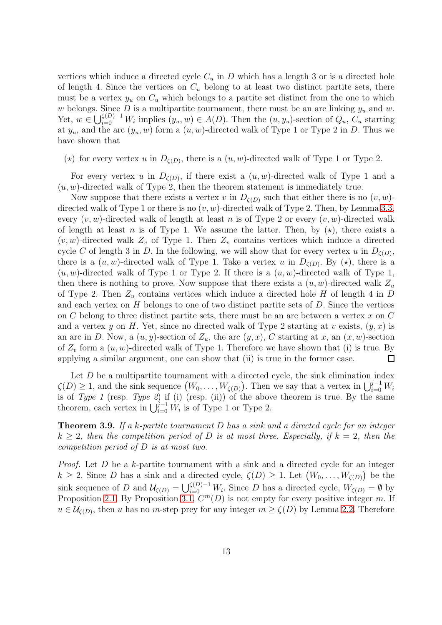vertices which induce a directed cycle  $C_u$  in D which has a length 3 or is a directed hole of length 4. Since the vertices on  $C_u$  belong to at least two distinct partite sets, there must be a vertex  $y_u$  on  $C_u$  which belongs to a partite set distinct from the one to which w belongs. Since D is a multipartite tournament, there must be an arc linking  $y_u$  and w. Yet,  $w \in \bigcup_{i=0}^{\zeta(D)-1} W_i$  implies  $(y_u, w) \in A(D)$ . Then the  $(u, y_u)$ -section of  $Q_u, C_u$  starting at  $y_u$ , and the arc  $(y_u, w)$  form a  $(u, w)$ -directed walk of Type 1 or Type 2 in D. Thus we have shown that

( $\star$ ) for every vertex u in  $D_{\zeta(D)}$ , there is a  $(u, w)$ -directed walk of Type 1 or Type 2.

For every vertex u in  $D_{\zeta(D)}$ , if there exist a  $(u, w)$ -directed walk of Type 1 and a  $(u, w)$ -directed walk of Type 2, then the theorem statement is immediately true.

Now suppose that there exists a vertex v in  $D_{\zeta(D)}$  such that either there is no  $(v, w)$ directed walk of Type 1 or there is no  $(v, w)$ -directed walk of Type 2. Then, by Lemma [3.3,](#page-8-2) every  $(v, w)$ -directed walk of length at least n is of Type 2 or every  $(v, w)$ -directed walk of length at least n is of Type 1. We assume the latter. Then, by  $(\star)$ , there exists a  $(v, w)$ -directed walk  $Z_v$  of Type 1. Then  $Z_v$  contains vertices which induce a directed cycle C of length 3 in D. In the following, we will show that for every vertex u in  $D_{\zeta(D)}$ , there is a  $(u, w)$ -directed walk of Type 1. Take a vertex u in  $D_{\zeta(D)}$ . By  $(\star)$ , there is a  $(u, w)$ -directed walk of Type 1 or Type 2. If there is a  $(u, w)$ -directed walk of Type 1, then there is nothing to prove. Now suppose that there exists a  $(u, w)$ -directed walk  $Z_u$ of Type 2. Then  $Z_u$  contains vertices which induce a directed hole H of length 4 in D and each vertex on  $H$  belongs to one of two distinct partite sets of  $D$ . Since the vertices on C belong to three distinct partite sets, there must be an arc between a vertex  $x$  on  $C$ and a vertex y on H. Yet, since no directed walk of Type 2 starting at v exists,  $(y, x)$  is an arc in D. Now, a  $(u, y)$ -section of  $Z_u$ , the arc  $(y, x)$ , C starting at x, an  $(x, w)$ -section of  $Z_v$  form a  $(u, w)$ -directed walk of Type 1. Therefore we have shown that (i) is true. By applying a similar argument, one can show that (ii) is true in the former case.  $\Box$ 

Let  $D$  be a multipartite tournament with a directed cycle, the sink elimination index  $\zeta(D) \geq 1$ , and the sink sequence  $(W_0, \ldots, W_{\zeta(D)})$ . Then we say that a vertex in  $\bigcup_{i=0}^{j-1} W_i$ is of Type 1 (resp. Type 2) if (i) (resp. (ii)) of the above theorem is true. By the same theorem, each vertex in  $\bigcup_{i=0}^{j-1} W_i$  is of Type 1 or Type 2.

<span id="page-12-0"></span>**Theorem 3.9.** If a k-partite tournament  $D$  has a sink and a directed cycle for an integer  $k > 2$ , then the competition period of D is at most three. Especially, if  $k = 2$ , then the competition period of D is at most two.

*Proof.* Let  $D$  be a k-partite tournament with a sink and a directed cycle for an integer  $k \geq 2$ . Since D has a sink and a directed cycle,  $\zeta(D) \geq 1$ . Let  $(W_0, \ldots, W_{\zeta(D)})$  be the sink sequence of D and  $\mathcal{U}_{\zeta(D)} = \bigcup_{i=0}^{\zeta(D)-1} W_i$ . Since D has a directed cycle,  $W_{\zeta(D)} = \emptyset$  by Proposition [2.1.](#page-3-1) By Proposition [3.1,](#page-7-1)  $C<sup>m</sup>(D)$  is not empty for every positive integer m. If  $u \in \mathcal{U}_{\zeta(D)}$ , then u has no m-step prey for any integer  $m \geq \zeta(D)$  by Lemma [2.2.](#page-3-2) Therefore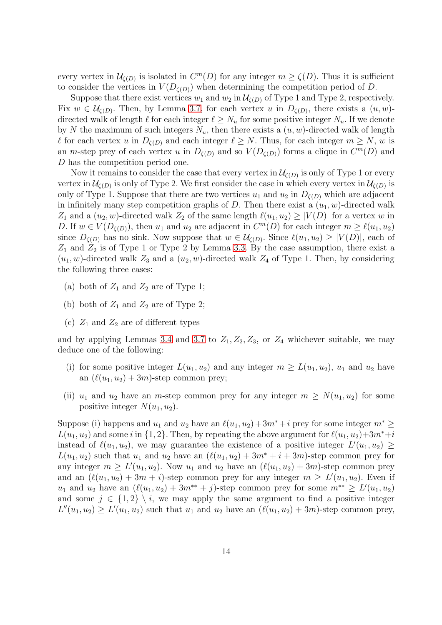every vertex in  $\mathcal{U}_{\zeta(D)}$  is isolated in  $C^m(D)$  for any integer  $m \geq \zeta(D)$ . Thus it is sufficient to consider the vertices in  $V(D_{\zeta(D)})$  when determining the competition period of D.

Suppose that there exist vertices  $w_1$  and  $w_2$  in  $\mathcal{U}_{\zeta(D)}$  of Type 1 and Type 2, respectively. Fix  $w \in \mathcal{U}_{\zeta(D)}$ . Then, by Lemma [3.7,](#page-11-1) for each vertex u in  $D_{\zeta(D)}$ , there exists a  $(u, w)$ directed walk of length  $\ell$  for each integer  $\ell \geq N_u$  for some positive integer  $N_u$ . If we denote by N the maximum of such integers  $N_u$ , then there exists a  $(u, w)$ -directed walk of length  $\ell$  for each vertex u in  $D_{\zeta(D)}$  and each integer  $\ell \geq N$ . Thus, for each integer  $m \geq N$ , w is an m-step prey of each vertex u in  $D_{\zeta(D)}$  and so  $V(D_{\zeta(D)})$  forms a clique in  $C^m(D)$  and D has the competition period one.

Now it remains to consider the case that every vertex in  $\mathcal{U}_{\zeta(D)}$  is only of Type 1 or every vertex in  $\mathcal{U}_{\zeta(D)}$  is only of Type 2. We first consider the case in which every vertex in  $\mathcal{U}_{\zeta(D)}$  is only of Type 1. Suppose that there are two vertices  $u_1$  and  $u_2$  in  $D_{\zeta(D)}$  which are adjacent in infinitely many step competition graphs of D. Then there exist a  $(u_1, w)$ -directed walk  $Z_1$  and a  $(u_2, w)$ -directed walk  $Z_2$  of the same length  $\ell(u_1, u_2) \geq |V(D)|$  for a vertex w in D. If  $w \in V(D_{\zeta(D)})$ , then  $u_1$  and  $u_2$  are adjacent in  $C^m(D)$  for each integer  $m \geq \ell(u_1, u_2)$ since  $D_{\zeta(D)}$  has no sink. Now suppose that  $w \in \mathcal{U}_{\zeta(D)}$ . Since  $\ell(u_1, u_2) \geq |V(D)|$ , each of  $Z_1$  and  $Z_2$  is of Type 1 or Type 2 by Lemma [3.3.](#page-8-2) By the case assumption, there exist a  $(u_1, w)$ -directed walk  $Z_3$  and a  $(u_2, w)$ -directed walk  $Z_4$  of Type 1. Then, by considering the following three cases:

- (a) both of  $Z_1$  and  $Z_2$  are of Type 1;
- (b) both of  $Z_1$  and  $Z_2$  are of Type 2;
- (c)  $Z_1$  and  $Z_2$  are of different types

and by applying Lemmas [3.4](#page-8-0) and [3.7](#page-11-1) to  $Z_1, Z_2, Z_3$ , or  $Z_4$  whichever suitable, we may deduce one of the following:

- (i) for some positive integer  $L(u_1, u_2)$  and any integer  $m \ge L(u_1, u_2)$ ,  $u_1$  and  $u_2$  have an  $(\ell(u_1, u_2) + 3m)$ -step common prey;
- (ii)  $u_1$  and  $u_2$  have an *m*-step common prey for any integer  $m \geq N(u_1, u_2)$  for some positive integer  $N(u_1, u_2)$ .

Suppose (i) happens and  $u_1$  and  $u_2$  have an  $\ell(u_1, u_2)+3m^*+i$  prey for some integer  $m^* \geq$  $L(u_1, u_2)$  and some i in  $\{1, 2\}$ . Then, by repeating the above argument for  $\ell(u_1, u_2)+3m^*+i$ instead of  $\ell(u_1, u_2)$ , we may guarantee the existence of a positive integer  $L'(u_1, u_2) \geq$  $L(u_1, u_2)$  such that  $u_1$  and  $u_2$  have an  $(\ell(u_1, u_2) + 3m^* + i + 3m)$ -step common prey for any integer  $m \ge L'(u_1, u_2)$ . Now  $u_1$  and  $u_2$  have an  $(\ell(u_1, u_2) + 3m)$ -step common prey and an  $(\ell(u_1, u_2) + 3m + i)$ -step common prey for any integer  $m \geq L'(u_1, u_2)$ . Even if  $u_1$  and  $u_2$  have an  $(\ell(u_1, u_2) + 3m^{**} + j)$ -step common prey for some  $m^{**} \ge L'(u_1, u_2)$ and some  $j \in \{1,2\} \setminus i$ , we may apply the same argument to find a positive integer  $L''(u_1, u_2) \ge L'(u_1, u_2)$  such that  $u_1$  and  $u_2$  have an  $(\ell(u_1, u_2) + 3m)$ -step common prey,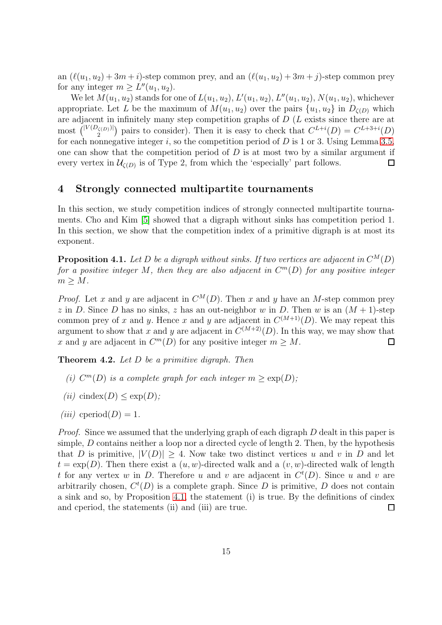an  $(\ell(u_1, u_2) + 3m + i)$ -step common prey, and an  $(\ell(u_1, u_2) + 3m + i)$ -step common prey for any integer  $m \geq L''(u_1, u_2)$ .

We let  $M(u_1, u_2)$  stands for one of  $L(u_1, u_2)$ ,  $L'(u_1, u_2)$ ,  $L''(u_1, u_2)$ ,  $N(u_1, u_2)$ , whichever appropriate. Let L be the maximum of  $M(u_1, u_2)$  over the pairs  $\{u_1, u_2\}$  in  $D_{\zeta(D)}$  which are adjacent in infinitely many step competition graphs of  $D(L)$  exists since there are at most  $\binom{|V(D_{\zeta(D)})|}{2}$  $\binom{C^{(D)}}{2}$  pairs to consider). Then it is easy to check that  $C^{L+i}(D) = C^{L+3+i}(D)$ for each nonnegative integer  $i$ , so the competition period of  $D$  is 1 or 3. Using Lemma [3.5,](#page-8-1) one can show that the competition period of  $D$  is at most two by a similar argument if every vertex in  $\mathcal{U}_{\zeta(D)}$  is of Type 2, from which the 'especially' part follows.  $\Box$ 

### <span id="page-14-0"></span>4 Strongly connected multipartite tournaments

In this section, we study competition indices of strongly connected multipartite tournaments. Cho and Kim [\[5\]](#page-18-8) showed that a digraph without sinks has competition period 1. In this section, we show that the competition index of a primitive digraph is at most its exponent.

<span id="page-14-2"></span>**Proposition 4.1.** Let D be a digraph without sinks. If two vertices are adjacent in  $C^M(D)$ for a positive integer M, then they are also adjacent in  $C<sup>m</sup>(D)$  for any positive integer  $m \geq M$ .

*Proof.* Let x and y are adjacent in  $C^M(D)$ . Then x and y have an M-step common prey z in D. Since D has no sinks, z has an out-neighbor w in D. Then w is an  $(M + 1)$ -step common prey of x and y. Hence x and y are adjacent in  $C^{(M+1)}(D)$ . We may repeat this argument to show that x and y are adjacent in  $C^{(M+2)}(D)$ . In this way, we may show that x and y are adjacent in  $C^m(D)$  for any positive integer  $m \geq M$ .  $\Box$ 

<span id="page-14-1"></span>**Theorem 4.2.** Let  $D$  be a primitive digraph. Then

- (i)  $C^m(D)$  is a complete graph for each integer  $m \geq \exp(D)$ ;
- (ii) cindex(D)  $\leq$  exp(D);
- (*iii*) cperiod(*D*) = 1.

Proof. Since we assumed that the underlying graph of each digraph D dealt in this paper is simple,  $D$  contains neither a loop nor a directed cycle of length 2. Then, by the hypothesis that D is primitive,  $|V(D)| \geq 4$ . Now take two distinct vertices u and v in D and let  $t = \exp(D)$ . Then there exist a  $(u, w)$ -directed walk and a  $(v, w)$ -directed walk of length t for any vertex w in D. Therefore u and v are adjacent in  $C<sup>t</sup>(D)$ . Since u and v are arbitrarily chosen,  $C<sup>t</sup>(D)$  is a complete graph. Since D is primitive, D does not contain a sink and so, by Proposition [4.1,](#page-14-2) the statement (i) is true. By the definitions of cindex and cperiod, the statements (ii) and (iii) are true.  $\Box$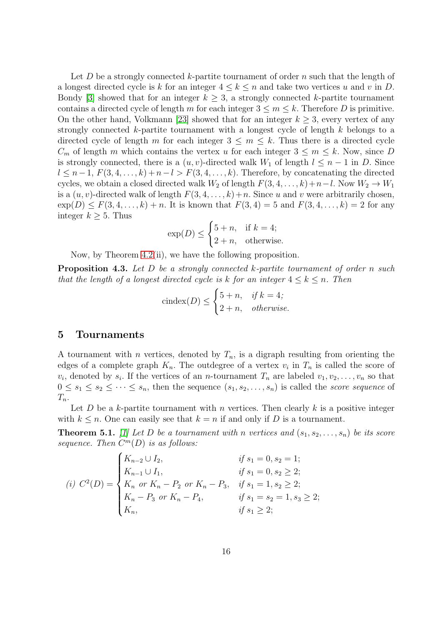Let  $D$  be a strongly connected  $k$ -partite tournament of order  $n$  such that the length of a longest directed cycle is k for an integer  $4 \leq k \leq n$  and take two vertices u and v in D. Bondy [\[3\]](#page-18-14) showed that for an integer  $k \geq 3$ , a strongly connected k-partite tournament contains a directed cycle of length m for each integer  $3 \le m \le k$ . Therefore D is primitive. On the other hand, Volkmann [\[23\]](#page-19-7) showed that for an integer  $k \geq 3$ , every vertex of any strongly connected k-partite tournament with a longest cycle of length  $k$  belongs to a directed cycle of length m for each integer  $3 \leq m \leq k$ . Thus there is a directed cycle  $C_m$  of length m which contains the vertex u for each integer  $3 \leq m \leq k$ . Now, since D is strongly connected, there is a  $(u, v)$ -directed walk  $W_1$  of length  $l \leq n-1$  in D. Since  $l \leq n-1, F(3, 4, \ldots, k) + n-l > F(3, 4, \ldots, k)$ . Therefore, by concatenating the directed cycles, we obtain a closed directed walk  $W_2$  of length  $F(3, 4, \ldots, k)+n-l$ . Now  $W_2 \to W_1$ is a  $(u, v)$ -directed walk of length  $F(3, 4, \ldots, k)+n$ . Since u and v were arbitrarily chosen,  $\exp(D) \le F(3, 4, \ldots, k) + n$ . It is known that  $F(3, 4) = 5$  and  $F(3, 4, \ldots, k) = 2$  for any integer  $k \geq 5$ . Thus

$$
\exp(D) \le \begin{cases} 5+n, & \text{if } k=4; \\ 2+n, & \text{otherwise.} \end{cases}
$$

Now, by Theorem [4.2\(](#page-14-1)ii), we have the following proposition.

**Proposition 4.3.** Let D be a strongly connected k-partite tournament of order n such that the length of a longest directed cycle is k for an integer  $4 \leq k \leq n$ . Then

$$
cindex(D) \le \begin{cases} 5+n, & if \ k = 4; \\ 2+n, & otherwise. \end{cases}
$$

#### <span id="page-15-0"></span>5 Tournaments

A tournament with *n* vertices, denoted by  $T_n$ , is a digraph resulting from orienting the edges of a complete graph  $K_n$ . The outdegree of a vertex  $v_i$  in  $T_n$  is called the score of  $v_i$ , denoted by  $s_i$ . If the vertices of an *n*-tournament  $T_n$  are labeled  $v_1, v_2, \ldots, v_n$  so that  $0 \leq s_1 \leq s_2 \leq \cdots \leq s_n$ , then the sequence  $(s_1, s_2, \ldots, s_n)$  is called the score sequence of  $T_n$ .

Let  $D$  be a k-partite tournament with n vertices. Then clearly  $k$  is a positive integer with  $k \leq n$ . One can easily see that  $k = n$  if and only if D is a tournament.

<span id="page-15-1"></span>**Theorem 5.1.** [\[1\]](#page-17-0) Let D be a tournament with n vertices and  $(s_1, s_2, \ldots, s_n)$  be its score sequence. Then  $C^m(D)$  is as follows:

$$
(i) \ C^{2}(D) = \begin{cases} K_{n-2} \cup I_2, & \text{if } s_1 = 0, s_2 = 1; \\ K_{n-1} \cup I_1, & \text{if } s_1 = 0, s_2 \ge 2; \\ K_n \text{ or } K_n - P_2 \text{ or } K_n - P_3, & \text{if } s_1 = 1, s_2 \ge 2; \\ K_n - P_3 \text{ or } K_n - P_4, & \text{if } s_1 = s_2 = 1, s_3 \ge 2; \\ K_n, & \text{if } s_1 \ge 2; \end{cases}
$$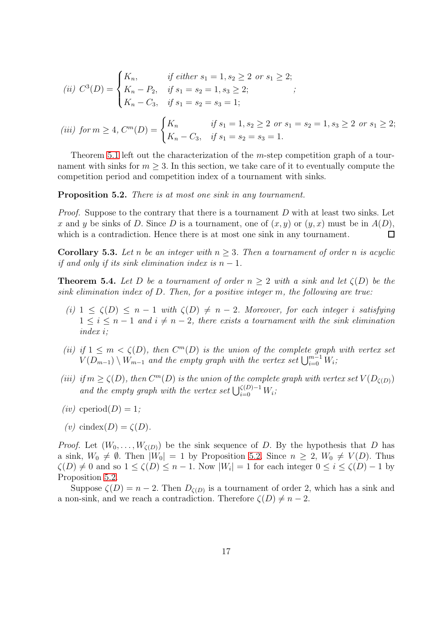(ii) 
$$
C^3(D) = \begin{cases} K_n, & \text{if either } s_1 = 1, s_2 \ge 2 \text{ or } s_1 \ge 2; \\ K_n - P_2, & \text{if } s_1 = s_2 = 1, s_3 \ge 2; \\ K_n - C_3, & \text{if } s_1 = s_2 = s_3 = 1; \end{cases}
$$
;

(iii) for 
$$
m \ge 4
$$
,  $C^m(D) = \begin{cases} K_n & \text{if } s_1 = 1, s_2 \ge 2 \text{ or } s_1 = s_2 = 1, s_3 \ge 2 \text{ or } s_1 \ge 2; \\ K_n - C_3, & \text{if } s_1 = s_2 = s_3 = 1. \end{cases}$ 

Theorem [5.1](#page-15-1) left out the characterization of the m-step competition graph of a tournament with sinks for  $m \geq 3$ . In this section, we take care of it to eventually compute the competition period and competition index of a tournament with sinks.

<span id="page-16-1"></span>Proposition 5.2. There is at most one sink in any tournament.

*Proof.* Suppose to the contrary that there is a tournament D with at least two sinks. Let x and y be sinks of D. Since D is a tournament, one of  $(x, y)$  or  $(y, x)$  must be in  $A(D)$ , which is a contradiction. Hence there is at most one sink in any tournament.  $\Box$ 

**Corollary 5.3.** Let n be an integer with  $n \geq 3$ . Then a tournament of order n is acyclic if and only if its sink elimination index is  $n-1$ .

<span id="page-16-0"></span>**Theorem 5.4.** Let D be a tournament of order  $n \geq 2$  with a sink and let  $\zeta(D)$  be the sink elimination index of D. Then, for a positive integer m, the following are true:

- (i)  $1 \le \zeta(D) \le n-1$  with  $\zeta(D) \ne n-2$ . Moreover, for each integer i satisfying  $1 \leq i \leq n-1$  and  $i \neq n-2$ , there exists a tournament with the sink elimination index i;
- (ii) if  $1 \leq m < \zeta(D)$ , then  $C^{m}(D)$  is the union of the complete graph with vertex set  $V(D_{m-1}) \setminus W_{m-1}$  and the empty graph with the vertex set  $\bigcup_{i=0}^{m-1} W_i$ ;
- (iii) if  $m \ge \zeta(D)$ , then  $C^m(D)$  is the union of the complete graph with vertex set  $V(D_{\zeta(D)})$ and the empty graph with the vertex set  $\bigcup_{i=0}^{\zeta(D)-1} W_i$ ;
- $(iv)$  cperiod $(D) = 1$ ;
- (v) cindex(D) =  $\zeta(D)$ .

*Proof.* Let  $(W_0, \ldots, W_{\zeta(D)})$  be the sink sequence of D. By the hypothesis that D has a sink,  $W_0 \neq \emptyset$ . Then  $|W_0| = 1$  by Proposition [5.2.](#page-16-1) Since  $n \geq 2$ ,  $W_0 \neq V(D)$ . Thus  $\zeta(D) \neq 0$  and so  $1 \leq \zeta(D) \leq n-1$ . Now  $|W_i| = 1$  for each integer  $0 \leq i \leq \zeta(D) - 1$  by Proposition [5.2.](#page-16-1)

Suppose  $\zeta(D) = n - 2$ . Then  $D_{\zeta(D)}$  is a tournament of order 2, which has a sink and a non-sink, and we reach a contradiction. Therefore  $\zeta(D) \neq n - 2$ .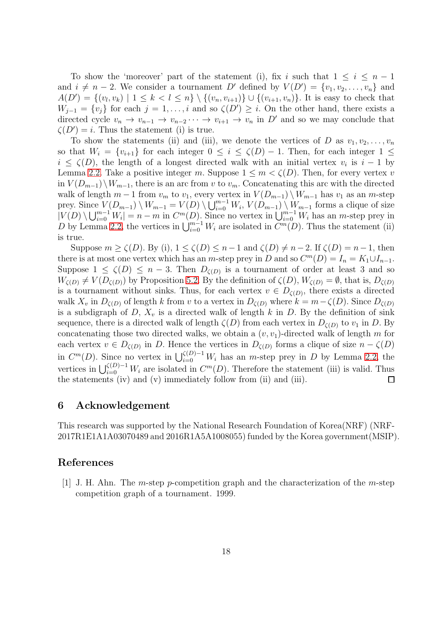To show the 'moreover' part of the statement (i), fix i such that  $1 \leq i \leq n-1$ and  $i \neq n-2$ . We consider a tournament D' defined by  $V(D') = \{v_1, v_2, \ldots, v_n\}$  and  $A(D') = \{(v_i, v_k) | 1 \leq k < l \leq n\} \setminus \{(v_n, v_{i+1})\} \cup \{(v_{i+1}, v_n)\}.$  It is easy to check that  $W_{j-1} = \{v_j\}$  for each  $j = 1, \ldots, i$  and so  $\zeta(D') \geq i$ . On the other hand, there exists a directed cycle  $v_n \to v_{n-1} \to v_{n-2} \cdots \to v_{i+1} \to v_n$  in D' and so we may conclude that  $\zeta(D') = i$ . Thus the statement (i) is true.

To show the statements (ii) and (iii), we denote the vertices of D as  $v_1, v_2, \ldots, v_n$ so that  $W_i = \{v_{i+1}\}\$ for each integer  $0 \leq i \leq \zeta(D) - 1$ . Then, for each integer  $1 \leq$  $i \leq \zeta(D)$ , the length of a longest directed walk with an initial vertex  $v_i$  is  $i-1$  by Lemma [2.2.](#page-3-2) Take a positive integer m. Suppose  $1 \leq m < \zeta(D)$ . Then, for every vertex v in  $V(D_{m-1})\setminus W_{m-1}$ , there is an arc from v to  $v_m$ . Concatenating this arc with the directed walk of length  $m-1$  from  $v_m$  to  $v_1$ , every vertex in  $V(D_{m-1}) \setminus W_{m-1}$  has  $v_1$  as an m-step prey. Since  $V(D_{m-1}) \setminus W_{m-1} = V(D) \setminus \bigcup_{i=0}^{m-1} W_i$ ,  $V(D_{m-1}) \setminus W_{m-1}$  forms a clique of size  $|V(D) \setminus \bigcup_{i=0}^{m-1} W_i| = n-m$  in  $C^m(D)$ . Since no vertex in  $\bigcup_{i=0}^{m-1} W_i$  has an m-step prey in D by Lemma [2.2,](#page-3-2) the vertices in  $\bigcup_{i=0}^{m-1} W_i$  are isolated in  $\widetilde{C}^m(D)$ . Thus the statement (ii) is true.

Suppose  $m \ge \zeta(D)$ . By (i),  $1 \le \zeta(D) \le n-1$  and  $\zeta(D) \ne n-2$ . If  $\zeta(D) = n-1$ , then there is at most one vertex which has an m-step prey in D and so  $C^m(D) = I_n = K_1 \cup I_{n-1}$ . Suppose  $1 \leq \zeta(D) \leq n-3$ . Then  $D_{\zeta(D)}$  is a tournament of order at least 3 and so  $W_{\zeta(D)} \neq V(D_{\zeta(D)})$  by Proposition [5.2.](#page-16-1) By the definition of  $\zeta(D), W_{\zeta(D)} = \emptyset$ , that is,  $D_{\zeta(D)}$ is a tournament without sinks. Thus, for each vertex  $v \in D_{\zeta(D)}$ , there exists a directed walk  $X_v$  in  $D_{\zeta(D)}$  of length k from v to a vertex in  $D_{\zeta(D)}$  where  $k = m - \zeta(D)$ . Since  $D_{\zeta(D)}$ is a subdigraph of D,  $X_v$  is a directed walk of length k in D. By the definition of sink sequence, there is a directed walk of length  $\zeta(D)$  from each vertex in  $D_{\zeta(D)}$  to  $v_1$  in D. By concatenating those two directed walks, we obtain a  $(v, v_1)$ -directed walk of length m for each vertex  $v \in D_{\zeta(D)}$  in D. Hence the vertices in  $D_{\zeta(D)}$  forms a clique of size  $n - \zeta(D)$ in  $C^m(D)$ . Since no vertex in  $\bigcup_{i=0}^{\zeta(D)-1} W_i$  has an *m*-step prey in D by Lemma [2.2,](#page-3-2) the vertices in  $\bigcup_{i=0}^{\zeta(D)-1} W_i$  are isolated in  $C^m(D)$ . Therefore the statement (iii) is valid. Thus the statements (iv) and (v) immediately follow from (ii) and (iii).  $\Box$ 

## 6 Acknowledgement

This research was supported by the National Research Foundation of Korea(NRF) (NRF-2017R1E1A1A03070489 and 2016R1A5A1008055) funded by the Korea government(MSIP).

#### <span id="page-17-0"></span>References

[1] J. H. Ahn. The m-step p-competition graph and the characterization of the m-step competition graph of a tournament. 1999.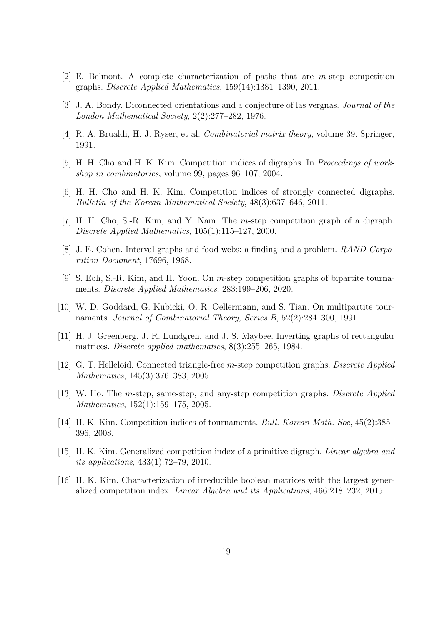- <span id="page-18-14"></span><span id="page-18-2"></span>[2] E. Belmont. A complete characterization of paths that are m-step competition graphs. Discrete Applied Mathematics, 159(14):1381–1390, 2011.
- <span id="page-18-12"></span>[3] J. A. Bondy. Diconnected orientations and a conjecture of las vergnas. Journal of the London Mathematical Society, 2(2):277–282, 1976.
- <span id="page-18-8"></span>[4] R. A. Brualdi, H. J. Ryser, et al. Combinatorial matrix theory, volume 39. Springer, 1991.
- <span id="page-18-3"></span>[5] H. H. Cho and H. K. Kim. Competition indices of digraphs. In Proceedings of workshop in combinatorics, volume 99, pages 96–107, 2004.
- <span id="page-18-1"></span>[6] H. H. Cho and H. K. Kim. Competition indices of strongly connected digraphs. Bulletin of the Korean Mathematical Society, 48(3):637–646, 2011.
- <span id="page-18-0"></span>[7] H. H. Cho, S.-R. Kim, and Y. Nam. The m-step competition graph of a digraph. Discrete Applied Mathematics, 105(1):115–127, 2000.
- <span id="page-18-11"></span>[8] J. E. Cohen. Interval graphs and food webs: a finding and a problem. RAND Corporation Document, 17696, 1968.
- <span id="page-18-13"></span>[9] S. Eoh, S.-R. Kim, and H. Yoon. On m-step competition graphs of bipartite tournaments. Discrete Applied Mathematics, 283:199–206, 2020.
- [10] W. D. Goddard, G. Kubicki, O. R. Oellermann, and S. Tian. On multipartite tournaments. Journal of Combinatorial Theory, Series B, 52(2):284–300, 1991.
- <span id="page-18-7"></span>[11] H. J. Greenberg, J. R. Lundgren, and J. S. Maybee. Inverting graphs of rectangular matrices. Discrete applied mathematics, 8(3):255–265, 1984.
- <span id="page-18-4"></span>[12] G. T. Helleloid. Connected triangle-free m-step competition graphs. Discrete Applied Mathematics, 145(3):376–383, 2005.
- <span id="page-18-5"></span>[13] W. Ho. The m-step, same-step, and any-step competition graphs. Discrete Applied Mathematics, 152(1):159–175, 2005.
- <span id="page-18-9"></span><span id="page-18-6"></span>[14] H. K. Kim. Competition indices of tournaments. Bull. Korean Math. Soc, 45(2):385– 396, 2008.
- [15] H. K. Kim. Generalized competition index of a primitive digraph. Linear algebra and its applications, 433(1):72–79, 2010.
- <span id="page-18-10"></span>[16] H. K. Kim. Characterization of irreducible boolean matrices with the largest generalized competition index. Linear Algebra and its Applications, 466:218–232, 2015.